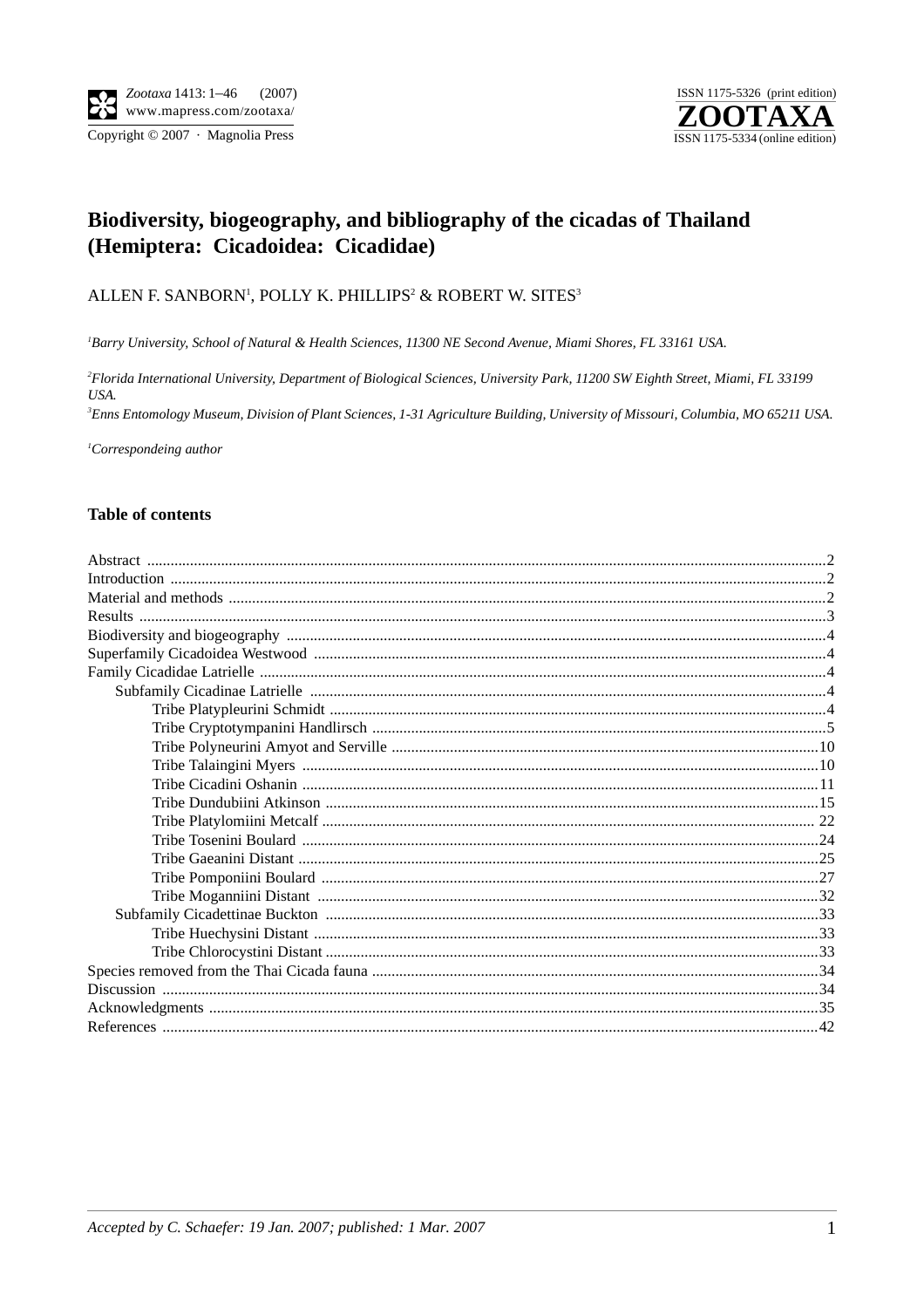ISSN 1175-5326 (print edition) ISSN 1175-5334 (online edition)

# Biodiversity, biogeography, and bibliography of the cicadas of Thailand (Hemiptera: Cicadoidea: Cicadidae)

# ALLEN F. SANBORN<sup>1</sup>, POLLY K. PHILLIPS<sup>2</sup> & ROBERT W. SITES<sup>3</sup>

<sup>1</sup>Barry University, School of Natural & Health Sciences, 11300 NE Second Avenue, Miami Shores, FL 33161 USA.

<sup>2</sup>Florida International University, Department of Biological Sciences, University Park, 11200 SW Eighth Street, Miami, FL 33199 USA.

<sup>3</sup>Enns Entomology Museum, Division of Plant Sciences, 1-31 Agriculture Building, University of Missouri, Columbia, MO 65211 USA.

 ${}^{1}$ Correspondeing author

#### **Table of contents**